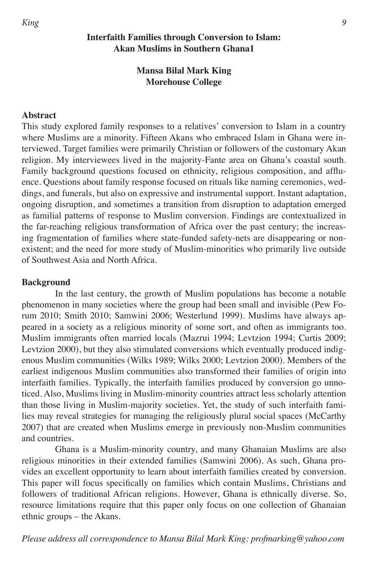# **Interfaith Families through Conversion to Islam: Akan Muslims in Southern Ghana1**

# **Mansa Bilal Mark King Morehouse College**

## **Abstract**

This study explored family responses to a relatives' conversion to Islam in a country where Muslims are a minority. Fifteen Akans who embraced Islam in Ghana were interviewed. Target families were primarily Christian or followers of the customary Akan religion. My interviewees lived in the majority-Fante area on Ghana's coastal south. Family background questions focused on ethnicity, religious composition, and affluence. Questions about family response focused on rituals like naming ceremonies, weddings, and funerals, but also on expressive and instrumental support. Instant adaptation, ongoing disruption, and sometimes a transition from disruption to adaptation emerged as familial patterns of response to Muslim conversion. Findings are contextualized in the far-reaching religious transformation of Africa over the past century; the increasing fragmentation of families where state-funded safety-nets are disappearing or nonexistent; and the need for more study of Muslim-minorities who primarily live outside of Southwest Asia and North Africa.

### **Background**

In the last century, the growth of Muslim populations has become a notable phenomenon in many societies where the group had been small and invisible (Pew Forum 2010; Smith 2010; Samwini 2006; Westerlund 1999). Muslims have always appeared in a society as a religious minority of some sort, and often as immigrants too. Muslim immigrants often married locals (Mazrui 1994; Levtzion 1994; Curtis 2009; Levtzion 2000), but they also stimulated conversions which eventually produced indigenous Muslim communities (Wilks 1989; Wilks 2000; Levtzion 2000). Members of the earliest indigenous Muslim communities also transformed their families of origin into interfaith families. Typically, the interfaith families produced by conversion go unnoticed. Also, Muslims living in Muslim-minority countries attract less scholarly attention than those living in Muslim-majority societies. Yet, the study of such interfaith families may reveal strategies for managing the religiously plural social spaces (McCarthy 2007) that are created when Muslims emerge in previously non-Muslim communities and countries.

Ghana is a Muslim-minority country, and many Ghanaian Muslims are also religious minorities in their extended families (Samwini 2006). As such, Ghana provides an excellent opportunity to learn about interfaith families created by conversion. This paper will focus specifically on families which contain Muslims, Christians and followers of traditional African religions. However, Ghana is ethnically diverse. So, resource limitations require that this paper only focus on one collection of Ghanaian ethnic groups – the Akans.

*Please address all correspondence to Mansa Bilal Mark King: profmarking@yahoo.com*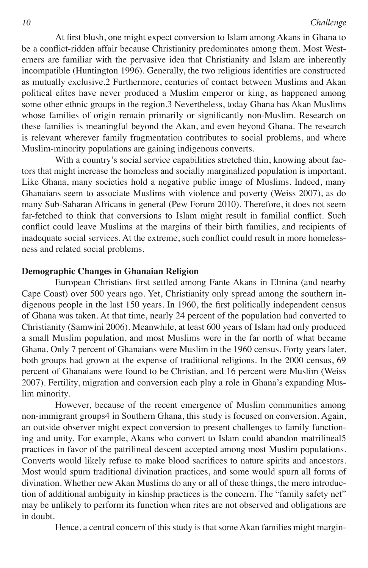At first blush, one might expect conversion to Islam among Akans in Ghana to be a conflict-ridden affair because Christianity predominates among them. Most Westerners are familiar with the pervasive idea that Christianity and Islam are inherently incompatible (Huntington 1996). Generally, the two religious identities are constructed as mutually exclusive.2 Furthermore, centuries of contact between Muslims and Akan political elites have never produced a Muslim emperor or king, as happened among some other ethnic groups in the region.3 Nevertheless, today Ghana has Akan Muslims whose families of origin remain primarily or significantly non-Muslim. Research on these families is meaningful beyond the Akan, and even beyond Ghana. The research is relevant wherever family fragmentation contributes to social problems, and where Muslim-minority populations are gaining indigenous converts.

With a country's social service capabilities stretched thin, knowing about factors that might increase the homeless and socially marginalized population is important. Like Ghana, many societies hold a negative public image of Muslims. Indeed, many Ghanaians seem to associate Muslims with violence and poverty (Weiss 2007), as do many Sub-Saharan Africans in general (Pew Forum 2010). Therefore, it does not seem far-fetched to think that conversions to Islam might result in familial conflict. Such conflict could leave Muslims at the margins of their birth families, and recipients of inadequate social services. At the extreme, such conflict could result in more homelessness and related social problems.

### **Demographic Changes in Ghanaian Religion**

European Christians first settled among Fante Akans in Elmina (and nearby Cape Coast) over 500 years ago. Yet, Christianity only spread among the southern indigenous people in the last 150 years. In 1960, the first politically independent census of Ghana was taken. At that time, nearly 24 percent of the population had converted to Christianity (Samwini 2006). Meanwhile, at least 600 years of Islam had only produced a small Muslim population, and most Muslims were in the far north of what became Ghana. Only 7 percent of Ghanaians were Muslim in the 1960 census. Forty years later, both groups had grown at the expense of traditional religions. In the 2000 census, 69 percent of Ghanaians were found to be Christian, and 16 percent were Muslim (Weiss 2007). Fertility, migration and conversion each play a role in Ghana's expanding Muslim minority.

However, because of the recent emergence of Muslim communities among non-immigrant groups4 in Southern Ghana, this study is focused on conversion. Again, an outside observer might expect conversion to present challenges to family functioning and unity. For example, Akans who convert to Islam could abandon matrilineal5 practices in favor of the patrilineal descent accepted among most Muslim populations. Converts would likely refuse to make blood sacrifices to nature spirits and ancestors. Most would spurn traditional divination practices, and some would spurn all forms of divination. Whether new Akan Muslims do any or all of these things, the mere introduction of additional ambiguity in kinship practices is the concern. The "family safety net" may be unlikely to perform its function when rites are not observed and obligations are in doubt.

Hence, a central concern of this study is that some Akan families might margin-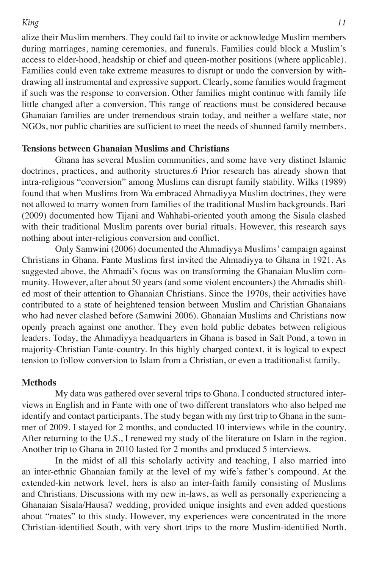alize their Muslim members. They could fail to invite or acknowledge Muslim members during marriages, naming ceremonies, and funerals. Families could block a Muslim's access to elder-hood, headship or chief and queen-mother positions (where applicable). Families could even take extreme measures to disrupt or undo the conversion by withdrawing all instrumental and expressive support. Clearly, some families would fragment if such was the response to conversion. Other families might continue with family life little changed after a conversion. This range of reactions must be considered because Ghanaian families are under tremendous strain today, and neither a welfare state, nor NGOs, nor public charities are sufficient to meet the needs of shunned family members.

### **Tensions between Ghanaian Muslims and Christians**

Ghana has several Muslim communities, and some have very distinct Islamic doctrines, practices, and authority structures.6 Prior research has already shown that intra-religious "conversion" among Muslims can disrupt family stability. Wilks (1989) found that when Muslims from Wa embraced Ahmadiyya Muslim doctrines, they were not allowed to marry women from families of the traditional Muslim backgrounds. Bari (2009) documented how Tijani and Wahhabi-oriented youth among the Sisala clashed with their traditional Muslim parents over burial rituals. However, this research says nothing about inter-religious conversion and conflict.

Only Samwini (2006) documented the Ahmadiyya Muslims' campaign against Christians in Ghana. Fante Muslims first invited the Ahmadiyya to Ghana in 1921. As suggested above, the Ahmadi's focus was on transforming the Ghanaian Muslim community. However, after about 50 years (and some violent encounters) the Ahmadis shifted most of their attention to Ghanaian Christians. Since the 1970s, their activities have contributed to a state of heightened tension between Muslim and Christian Ghanaians who had never clashed before (Samwini 2006). Ghanaian Muslims and Christians now openly preach against one another. They even hold public debates between religious leaders. Today, the Ahmadiyya headquarters in Ghana is based in Salt Pond, a town in majority-Christian Fante-country. In this highly charged context, it is logical to expect tension to follow conversion to Islam from a Christian, or even a traditionalist family.

## **Methods**

My data was gathered over several trips to Ghana. I conducted structured interviews in English and in Fante with one of two different translators who also helped me identify and contact participants. The study began with my first trip to Ghana in the summer of 2009. I stayed for 2 months, and conducted 10 interviews while in the country. After returning to the U.S., I renewed my study of the literature on Islam in the region. Another trip to Ghana in 2010 lasted for 2 months and produced 5 interviews.

In the midst of all this scholarly activity and teaching, I also married into an inter-ethnic Ghanaian family at the level of my wife's father's compound. At the extended-kin network level, hers is also an inter-faith family consisting of Muslims and Christians. Discussions with my new in-laws, as well as personally experiencing a Ghanaian Sisala/Hausa7 wedding, provided unique insights and even added questions about "mates" to this study. However, my experiences were concentrated in the more Christian-identified South, with very short trips to the more Muslim-identified North.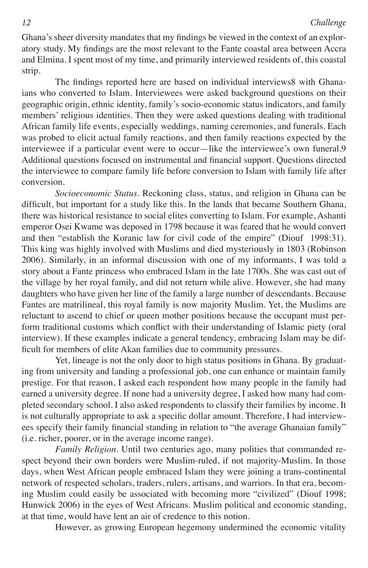Ghana's sheer diversity mandates that my findings be viewed in the context of an exploratory study. My findings are the most relevant to the Fante coastal area between Accra and Elmina. I spent most of my time, and primarily interviewed residents of, this coastal strip.

The findings reported here are based on individual interviews8 with Ghanaians who converted to Islam. Interviewees were asked background questions on their geographic origin, ethnic identity, family's socio-economic status indicators, and family members' religious identities. Then they were asked questions dealing with traditional African family life events, especially weddings, naming ceremonies, and funerals. Each was probed to elicit actual family reactions, and then family reactions expected by the interviewee if a particular event were to occur—like the interviewee's own funeral.9 Additional questions focused on instrumental and financial support. Questions directed the interviewee to compare family life before conversion to Islam with family life after conversion.

*Socioeconomic Status.* Reckoning class, status, and religion in Ghana can be difficult, but important for a study like this. In the lands that became Southern Ghana, there was historical resistance to social elites converting to Islam. For example, Ashanti emperor Osei Kwame was deposed in 1798 because it was feared that he would convert and then "establish the Koranic law for civil code of the empire" (Diouf 1998:31). This king was highly involved with Muslims and died mysteriously in 1803 (Robinson 2006). Similarly, in an informal discussion with one of my informants, I was told a story about a Fante princess who embraced Islam in the late 1700s. She was cast out of the village by her royal family, and did not return while alive. However, she had many daughters who have given her line of the family a large number of descendants. Because Fantes are matrilineal, this royal family is now majority Muslim. Yet, the Muslims are reluctant to ascend to chief or queen mother positions because the occupant must perform traditional customs which conflict with their understanding of Islamic piety (oral interview). If these examples indicate a general tendency, embracing Islam may be difficult for members of elite Akan families due to community pressures.

Yet, lineage is not the only door to high status positions in Ghana. By graduating from university and landing a professional job, one can enhance or maintain family prestige. For that reason, I asked each respondent how many people in the family had earned a university degree. If none had a university degree, I asked how many had completed secondary school. I also asked respondents to classify their families by income. It is not culturally appropriate to ask a specific dollar amount. Therefore, I had interviewees specify their family financial standing in relation to "the average Ghanaian family" (i.e. richer, poorer, or in the average income range).

*Family Religion.* Until two centuries ago, many polities that commanded respect beyond their own borders were Muslim-ruled, if not majority-Muslim. In those days, when West African people embraced Islam they were joining a trans-continental network of respected scholars, traders, rulers, artisans, and warriors. In that era, becoming Muslim could easily be associated with becoming more "civilized" (Diouf 1998; Hunwick 2006) in the eyes of West Africans. Muslim political and economic standing, at that time, would have lent an air of credence to this notion.

However, as growing European hegemony undermined the economic vitality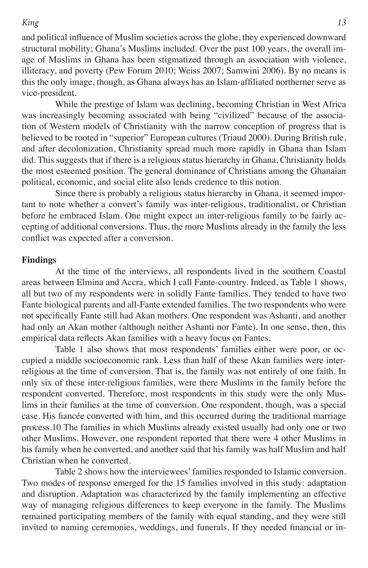and political influence of Muslim societies across the globe, they experienced downward structural mobility; Ghana's Muslims included. Over the past 100 years, the overall image of Muslims in Ghana has been stigmatized through an association with violence, illiteracy, and poverty (Pew Forum 2010; Weiss 2007; Samwini 2006). By no means is this the only image, though, as Ghana always has an Islam-affiliated northerner serve as vice-president.

While the prestige of Islam was declining, becoming Christian in West Africa was increasingly becoming associated with being "civilized" because of the association of Western models of Christianity with the narrow conception of progress that is believed to be rooted in "superior" European cultures (Triaud 2000). During British rule, and after decolonization, Christianity spread much more rapidly in Ghana than Islam did. This suggests that if there is a religious status hierarchy in Ghana, Christianity holds the most esteemed position. The general dominance of Christians among the Ghanaian political, economic, and social elite also lends credence to this notion.

Since there is probably a religious status hierarchy in Ghana, it seemed important to note whether a convert's family was inter-religious, traditionalist, or Christian before he embraced Islam. One might expect an inter-religious family to be fairly accepting of additional conversions. Thus, the more Muslims already in the family the less conflict was expected after a conversion.

### **Findings**

At the time of the interviews, all respondents lived in the southern Coastal areas between Elmina and Accra, which I call Fante-country. Indeed, as Table 1 shows, all but two of my respondents were in solidly Fante families. They tended to have two Fante biological parents and all-Fante extended families. The two respondents who were not specifically Fante still had Akan mothers. One respondent was Ashanti, and another had only an Akan mother (although neither Ashanti nor Fante). In one sense, then, this empirical data reflects Akan families with a heavy focus on Fantes.

Table 1 also shows that most respondents' families either were poor, or occupied a middle socioeconomic rank. Less than half of these Akan families were interreligious at the time of conversion. That is, the family was not entirely of one faith. In only six of these inter-religious families, were there Muslims in the family before the respondent converted. Therefore, most respondents in this study were the only Muslims in their families at the time of conversion. One respondent, though, was a special case. His fiancée converted with him, and this occurred during the traditional marriage process.10 The families in which Muslims already existed usually had only one or two other Muslims. However, one respondent reported that there were 4 other Muslims in his family when he converted, and another said that his family was half Muslim and half Christian when he converted.

Table 2 shows how the interviewees' families responded to Islamic conversion. Two modes of response emerged for the 15 families involved in this study: adaptation and disruption. Adaptation was characterized by the family implementing an effective way of managing religious differences to keep everyone in the family. The Muslims remained participating members of the family with equal standing, and they were still invited to naming ceremonies, weddings, and funerals. If they needed financial or in-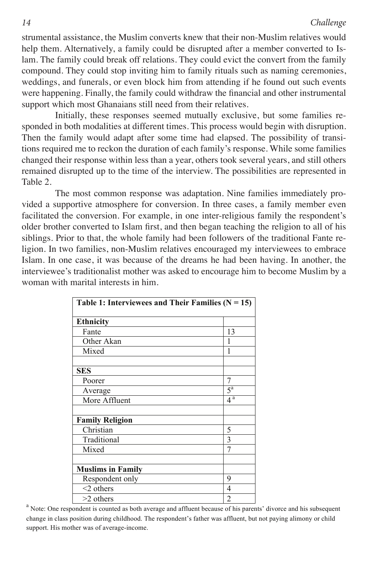strumental assistance, the Muslim converts knew that their non-Muslim relatives would help them. Alternatively, a family could be disrupted after a member converted to Islam. The family could break off relations. They could evict the convert from the family compound. They could stop inviting him to family rituals such as naming ceremonies, weddings, and funerals, or even block him from attending if he found out such events were happening. Finally, the family could withdraw the financial and other instrumental support which most Ghanaians still need from their relatives.

Initially, these responses seemed mutually exclusive, but some families responded in both modalities at different times. This process would begin with disruption. Then the family would adapt after some time had elapsed. The possibility of transitions required me to reckon the duration of each family's response. While some families changed their response within less than a year, others took several years, and still others remained disrupted up to the time of the interview. The possibilities are represented in Table 2.

The most common response was adaptation. Nine families immediately provided a supportive atmosphere for conversion. In three cases, a family member even facilitated the conversion. For example, in one inter-religious family the respondent's older brother converted to Islam first, and then began teaching the religion to all of his siblings. Prior to that, the whole family had been followers of the traditional Fante religion. In two families, non-Muslim relatives encouraged my interviewees to embrace Islam. In one case, it was because of the dreams he had been having. In another, the istant. In one ease, it was occause of the urealis he had been having. In another, the interviewee's traditionalist mother was asked to encourage him to become Muslim by a woman with marital interests in him.

| Table 1: Interviewees and Their Families $(N = 15)$ |                    |  |
|-----------------------------------------------------|--------------------|--|
| <b>Ethnicity</b>                                    |                    |  |
| Fante                                               | 13                 |  |
| Other Akan                                          |                    |  |
| Mixed                                               | 1                  |  |
|                                                     |                    |  |
| <b>SES</b>                                          |                    |  |
| Poorer                                              | 7                  |  |
| Average                                             | $5^{\text{a}}$     |  |
| More Affluent                                       | $4^{\overline{a}}$ |  |
|                                                     |                    |  |
| <b>Family Religion</b>                              |                    |  |
| Christian                                           | 5                  |  |
| Traditional                                         | 3                  |  |
| Mixed                                               | 7                  |  |
|                                                     |                    |  |
| <b>Muslims in Family</b>                            |                    |  |
| Respondent only                                     | 9                  |  |
| $<$ 2 others                                        | 4                  |  |
| $>2$ others                                         | 2                  |  |

<sup>a</sup> Note: One respondent is counted as both average and affluent because of his parents' divorce and his subsequent change in class position during childhood. The respondent's father was affluent, but not paying alimony or child support. His mother was of average-income.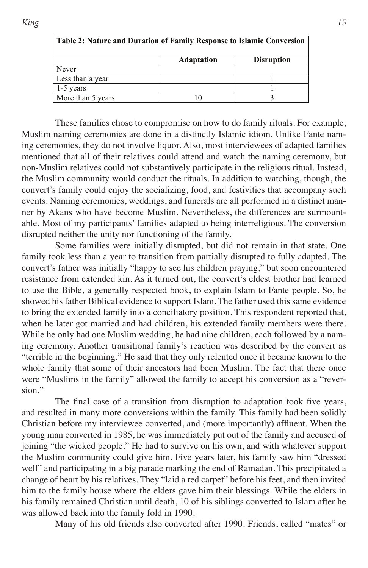| Table 2: Nature and Duration of Family Response to Islamic Conversion |                   |                   |
|-----------------------------------------------------------------------|-------------------|-------------------|
|                                                                       | <b>Adaptation</b> | <b>Disruption</b> |
| Never                                                                 |                   |                   |
| Less than a year                                                      |                   |                   |
| 1-5 years                                                             |                   |                   |
| More than 5 years                                                     |                   |                   |

These families chose to compromise on how to do family rituals. For example, 12 Muslim naming ceremonies are done in a distinctly Islamic idiom. Unlike Fante naming ceremonies, they do not involve liquor. Also, most interviewees of adapted families mentioned that all of their relatives could attend and watch the naming ceremony, but non-Muslim relatives could not substantively participate in the religious ritual. Instead, the Muslim community would conduct the rituals. In addition to watching, though, the convert's family could enjoy the socializing, food, and festivities that accompany such events. Naming ceremonies, weddings, and funerals are all performed in a distinct manner by Akans who have become Muslim. Nevertheless, the differences are surmountable. Most of my participants' families adapted to being interreligious. The conversion disrupted neither the unity nor functioning of the family.

Some families were initially disrupted, but did not remain in that state. One family took less than a year to transition from partially disrupted to fully adapted. The convert's father was initially "happy to see his children praying," but soon encountered resistance from extended kin. As it turned out, the convert's eldest brother had learned to use the Bible, a generally respected book, to explain Islam to Fante people. So, he showed his father Biblical evidence to support Islam. The father used this same evidence to bring the extended family into a conciliatory position. This respondent reported that, when he later got married and had children, his extended family members were there. While he only had one Muslim wedding, he had nine children, each followed by a naming ceremony. Another transitional family's reaction was described by the convert as "terrible in the beginning." He said that they only relented once it became known to the whole family that some of their ancestors had been Muslim. The fact that there once were "Muslims in the family" allowed the family to accept his conversion as a "reversion."

The final case of a transition from disruption to adaptation took five years, and resulted in many more conversions within the family. This family had been solidly Christian before my interviewee converted, and (more importantly) affluent. When the young man converted in 1985, he was immediately put out of the family and accused of joining "the wicked people." He had to survive on his own, and with whatever support the Muslim community could give him. Five years later, his family saw him "dressed well" and participating in a big parade marking the end of Ramadan. This precipitated a change of heart by his relatives. They "laid a red carpet" before his feet, and then invited him to the family house where the elders gave him their blessings. While the elders in his family remained Christian until death, 10 of his siblings converted to Islam after he was allowed back into the family fold in 1990.

Many of his old friends also converted after 1990. Friends, called "mates" or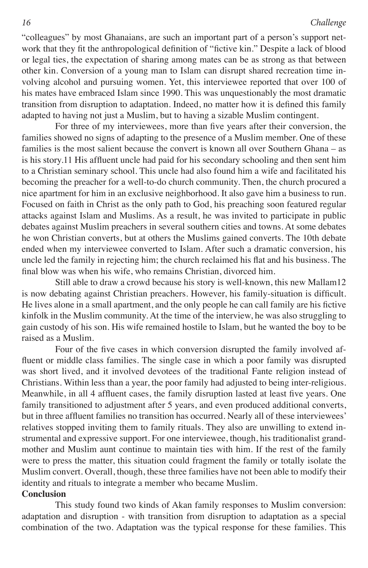"colleagues" by most Ghanaians, are such an important part of a person's support network that they fit the anthropological definition of "fictive kin." Despite a lack of blood or legal ties, the expectation of sharing among mates can be as strong as that between other kin. Conversion of a young man to Islam can disrupt shared recreation time involving alcohol and pursuing women. Yet, this interviewee reported that over 100 of his mates have embraced Islam since 1990. This was unquestionably the most dramatic transition from disruption to adaptation. Indeed, no matter how it is defined this family adapted to having not just a Muslim, but to having a sizable Muslim contingent.

For three of my interviewees, more than five years after their conversion, the families showed no signs of adapting to the presence of a Muslim member. One of these families is the most salient because the convert is known all over Southern Ghana – as is his story.11 His affluent uncle had paid for his secondary schooling and then sent him to a Christian seminary school. This uncle had also found him a wife and facilitated his becoming the preacher for a well-to-do church community. Then, the church procured a nice apartment for him in an exclusive neighborhood. It also gave him a business to run. Focused on faith in Christ as the only path to God, his preaching soon featured regular attacks against Islam and Muslims. As a result, he was invited to participate in public debates against Muslim preachers in several southern cities and towns. At some debates he won Christian converts, but at others the Muslims gained converts. The 10th debate ended when my interviewee converted to Islam. After such a dramatic conversion, his uncle led the family in rejecting him; the church reclaimed his flat and his business. The final blow was when his wife, who remains Christian, divorced him.

Still able to draw a crowd because his story is well-known, this new Mallam12 is now debating against Christian preachers. However, his family-situation is difficult. He lives alone in a small apartment, and the only people he can call family are his fictive kinfolk in the Muslim community. At the time of the interview, he was also struggling to gain custody of his son. His wife remained hostile to Islam, but he wanted the boy to be raised as a Muslim.

Four of the five cases in which conversion disrupted the family involved affluent or middle class families. The single case in which a poor family was disrupted was short lived, and it involved devotees of the traditional Fante religion instead of Christians. Within less than a year, the poor family had adjusted to being inter-religious. Meanwhile, in all 4 affluent cases, the family disruption lasted at least five years. One family transitioned to adjustment after 5 years, and even produced additional converts, but in three affluent families no transition has occurred. Nearly all of these interviewees' relatives stopped inviting them to family rituals. They also are unwilling to extend instrumental and expressive support. For one interviewee, though, his traditionalist grandmother and Muslim aunt continue to maintain ties with him. If the rest of the family were to press the matter, this situation could fragment the family or totally isolate the Muslim convert. Overall, though, these three families have not been able to modify their identity and rituals to integrate a member who became Muslim.

## **Conclusion**

This study found two kinds of Akan family responses to Muslim conversion: adaptation and disruption - with transition from disruption to adaptation as a special combination of the two. Adaptation was the typical response for these families. This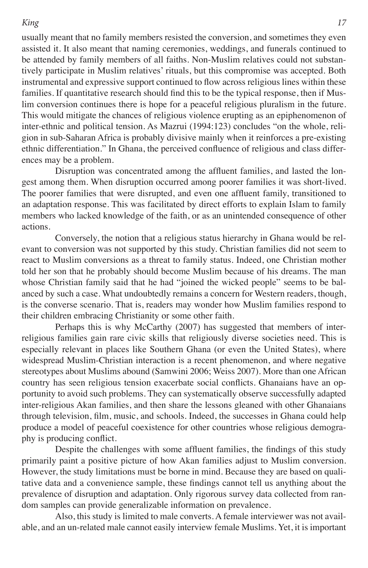usually meant that no family members resisted the conversion, and sometimes they even assisted it. It also meant that naming ceremonies, weddings, and funerals continued to be attended by family members of all faiths. Non-Muslim relatives could not substantively participate in Muslim relatives' rituals, but this compromise was accepted. Both instrumental and expressive support continued to flow across religious lines within these families. If quantitative research should find this to be the typical response, then if Muslim conversion continues there is hope for a peaceful religious pluralism in the future. This would mitigate the chances of religious violence erupting as an epiphenomenon of inter-ethnic and political tension. As Mazrui (1994:123) concludes "on the whole, religion in sub-Saharan Africa is probably divisive mainly when it reinforces a pre-existing ethnic differentiation." In Ghana, the perceived confluence of religious and class differences may be a problem.

Disruption was concentrated among the affluent families, and lasted the longest among them. When disruption occurred among poorer families it was short-lived. The poorer families that were disrupted, and even one affluent family, transitioned to an adaptation response. This was facilitated by direct efforts to explain Islam to family members who lacked knowledge of the faith, or as an unintended consequence of other actions.

Conversely, the notion that a religious status hierarchy in Ghana would be relevant to conversion was not supported by this study. Christian families did not seem to react to Muslim conversions as a threat to family status. Indeed, one Christian mother told her son that he probably should become Muslim because of his dreams. The man whose Christian family said that he had "joined the wicked people" seems to be balanced by such a case. What undoubtedly remains a concern for Western readers, though, is the converse scenario. That is, readers may wonder how Muslim families respond to their children embracing Christianity or some other faith.

Perhaps this is why McCarthy (2007) has suggested that members of interreligious families gain rare civic skills that religiously diverse societies need. This is especially relevant in places like Southern Ghana (or even the United States), where widespread Muslim-Christian interaction is a recent phenomenon, and where negative stereotypes about Muslims abound (Samwini 2006; Weiss 2007). More than one African country has seen religious tension exacerbate social conflicts. Ghanaians have an opportunity to avoid such problems. They can systematically observe successfully adapted inter-religious Akan families, and then share the lessons gleaned with other Ghanaians through television, film, music, and schools. Indeed, the successes in Ghana could help produce a model of peaceful coexistence for other countries whose religious demography is producing conflict.

Despite the challenges with some affluent families, the findings of this study primarily paint a positive picture of how Akan families adjust to Muslim conversion. However, the study limitations must be borne in mind. Because they are based on qualitative data and a convenience sample, these findings cannot tell us anything about the prevalence of disruption and adaptation. Only rigorous survey data collected from random samples can provide generalizable information on prevalence.

Also, this study is limited to male converts. A female interviewer was not available, and an un-related male cannot easily interview female Muslims. Yet, it is important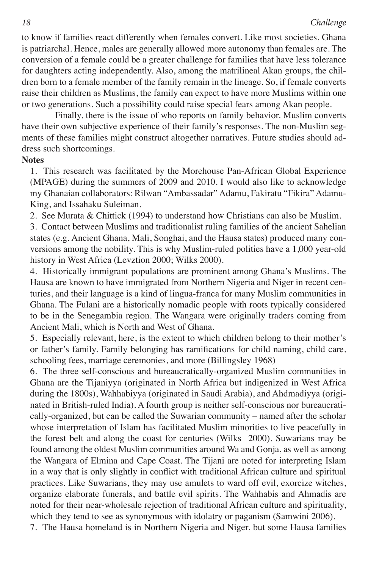to know if families react differently when females convert. Like most societies, Ghana is patriarchal. Hence, males are generally allowed more autonomy than females are. The conversion of a female could be a greater challenge for families that have less tolerance for daughters acting independently. Also, among the matrilineal Akan groups, the children born to a female member of the family remain in the lineage. So, if female converts raise their children as Muslims, the family can expect to have more Muslims within one or two generations. Such a possibility could raise special fears among Akan people.

Finally, there is the issue of who reports on family behavior. Muslim converts have their own subjective experience of their family's responses. The non-Muslim segments of these families might construct altogether narratives. Future studies should address such shortcomings.

# **Notes**

1. This research was facilitated by the Morehouse Pan-African Global Experience (MPAGE) during the summers of 2009 and 2010. I would also like to acknowledge my Ghanaian collaborators: Rilwan "Ambassadar" Adamu, Fakiratu "Fikira" Adamu-King, and Issahaku Suleiman.

2. See Murata & Chittick (1994) to understand how Christians can also be Muslim.

3. Contact between Muslims and traditionalist ruling families of the ancient Sahelian states (e.g. Ancient Ghana, Mali, Songhai, and the Hausa states) produced many conversions among the nobility. This is why Muslim-ruled polities have a 1,000 year-old history in West Africa (Levztion 2000; Wilks 2000).

4. Historically immigrant populations are prominent among Ghana's Muslims. The Hausa are known to have immigrated from Northern Nigeria and Niger in recent centuries, and their language is a kind of lingua-franca for many Muslim communities in Ghana. The Fulani are a historically nomadic people with roots typically considered to be in the Senegambia region. The Wangara were originally traders coming from Ancient Mali, which is North and West of Ghana.

5. Especially relevant, here, is the extent to which children belong to their mother's or father's family. Family belonging has ramifications for child naming, child care, schooling fees, marriage ceremonies, and more (Billingsley 1968)

6. The three self-conscious and bureaucratically-organized Muslim communities in Ghana are the Tijaniyya (originated in North Africa but indigenized in West Africa during the 1800s), Wahhabiyya (originated in Saudi Arabia), and Ahdmadiyya (originated in British-ruled India). A fourth group is neither self-conscious nor bureaucratically-organized, but can be called the Suwarian community – named after the scholar whose interpretation of Islam has facilitated Muslim minorities to live peacefully in the forest belt and along the coast for centuries (Wilks 2000). Suwarians may be found among the oldest Muslim communities around Wa and Gonja, as well as among the Wangara of Elmina and Cape Coast. The Tijani are noted for interpreting Islam in a way that is only slightly in conflict with traditional African culture and spiritual practices. Like Suwarians, they may use amulets to ward off evil, exorcize witches, organize elaborate funerals, and battle evil spirits. The Wahhabis and Ahmadis are noted for their near-wholesale rejection of traditional African culture and spirituality, which they tend to see as synonymous with idolatry or paganism (Samwini 2006).

7. The Hausa homeland is in Northern Nigeria and Niger, but some Hausa families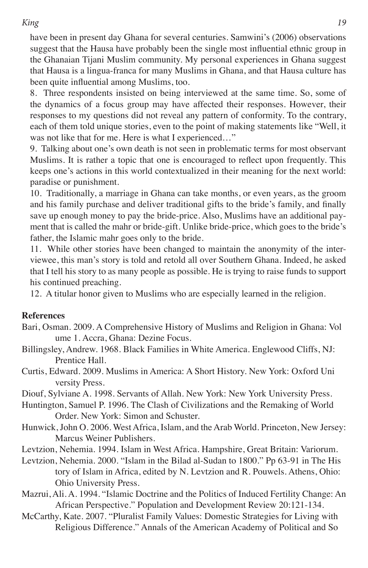have been in present day Ghana for several centuries. Samwini's (2006) observations suggest that the Hausa have probably been the single most influential ethnic group in the Ghanaian Tijani Muslim community. My personal experiences in Ghana suggest that Hausa is a lingua-franca for many Muslims in Ghana, and that Hausa culture has been quite influential among Muslims, too.

8. Three respondents insisted on being interviewed at the same time. So, some of the dynamics of a focus group may have affected their responses. However, their responses to my questions did not reveal any pattern of conformity. To the contrary, each of them told unique stories, even to the point of making statements like "Well, it was not like that for me. Here is what I experienced…"

9. Talking about one's own death is not seen in problematic terms for most observant Muslims. It is rather a topic that one is encouraged to reflect upon frequently. This keeps one's actions in this world contextualized in their meaning for the next world: paradise or punishment.

10. Traditionally, a marriage in Ghana can take months, or even years, as the groom and his family purchase and deliver traditional gifts to the bride's family, and finally save up enough money to pay the bride-price. Also, Muslims have an additional payment that is called the mahr or bride-gift. Unlike bride-price, which goes to the bride's father, the Islamic mahr goes only to the bride.

11. While other stories have been changed to maintain the anonymity of the interviewee, this man's story is told and retold all over Southern Ghana. Indeed, he asked that I tell his story to as many people as possible. He is trying to raise funds to support his continued preaching.

12. A titular honor given to Muslims who are especially learned in the religion.

# **References**

- Bari, Osman. 2009. A Comprehensive History of Muslims and Religion in Ghana: Vol ume 1. Accra, Ghana: Dezine Focus.
- Billingsley, Andrew. 1968. Black Families in White America. Englewood Cliffs, NJ: Prentice Hall.
- Curtis, Edward. 2009. Muslims in America: A Short History. New York: Oxford Uni versity Press.

Diouf, Sylviane A. 1998. Servants of Allah. New York: New York University Press.

- Huntington, Samuel P. 1996. The Clash of Civilizations and the Remaking of World Order. New York: Simon and Schuster.
- Hunwick, John O. 2006. West Africa, Islam, and the Arab World. Princeton, New Jersey: Marcus Weiner Publishers.

Levtzion, Nehemia. 1994. Islam in West Africa. Hampshire, Great Britain: Variorum.

Levtzion, Nehemia. 2000. "Islam in the Bilad al-Sudan to 1800." Pp 63-91 in The His tory of Islam in Africa, edited by N. Levtzion and R. Pouwels. Athens, Ohio: Ohio University Press.

- Mazrui, Ali. A. 1994. "Islamic Doctrine and the Politics of Induced Fertility Change: An African Perspective." Population and Development Review 20:121-134.
- McCarthy, Kate. 2007. "Pluralist Family Values: Domestic Strategies for Living with Religious Difference." Annals of the American Academy of Political and So